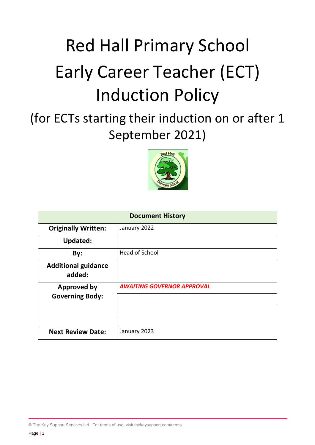# Red Hall Primary School Early Career Teacher (ECT) Induction Policy

(for ECTs starting their induction on or after 1 September 2021)



| <b>Document History</b>                      |                                   |  |
|----------------------------------------------|-----------------------------------|--|
| <b>Originally Written:</b>                   | January 2022                      |  |
| <b>Updated:</b>                              |                                   |  |
| By:                                          | Head of School                    |  |
| <b>Additional guidance</b><br>added:         |                                   |  |
| <b>Approved by</b><br><b>Governing Body:</b> | <b>AWAITING GOVERNOR APPROVAL</b> |  |
|                                              |                                   |  |
|                                              |                                   |  |
| <b>Next Review Date:</b>                     | January 2023                      |  |

© The Key Support Services Ltd | For terms of use, visit [thekeysupport.com/terms](https://thekeysupport.com/terms-of-use)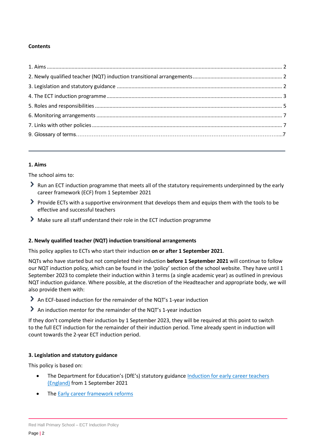# **Contents**

# <span id="page-1-0"></span>**1. Aims**

The school aims to:

- Run an ECT induction programme that meets all of the statutory requirements underpinned by the early career framework (ECF) from 1 September 2021
- Provide ECTs with a supportive environment that develops them and equips them with the tools to be effective and successful teachers
- Make sure all staff understand their role in the ECT induction programme

# <span id="page-1-1"></span>**2. Newly qualified teacher (NQT) induction transitional arrangements**

This policy applies to ECTs who start their induction **on or after 1 September 2021**.

NQTs who have started but not completed their induction **before 1 September 2021** will continue to follow our NQT induction policy, which can be found in the 'policy' section of the school website. They have until 1 September 2023 to complete their induction within 3 terms (a single academic year) as outlined in previous NQT induction guidance. Where possible, at the discretion of the Headteacher and appropriate body, we will also provide them with:

- An ECF-based induction for the remainder of the NQT's 1-year induction
- An induction mentor for the remainder of the NQT's 1-year induction

If they don't complete their induction by 1 September 2023, they will be required at this point to switch to the full ECT induction for the remainder of their induction period. Time already spent in induction will count towards the 2-year ECT induction period.

# <span id="page-1-2"></span>**3. Legislation and statutory guidance**

This policy is based on:

- The Department for Education's (DfE's) statutory guidance Induction for early career teachers [\(England\)](https://www.gov.uk/government/publications/induction-for-early-career-teachers-england) from 1 September 2021
- The [Early career framework reforms](https://www.gov.uk/government/collections/early-career-framework-reforms)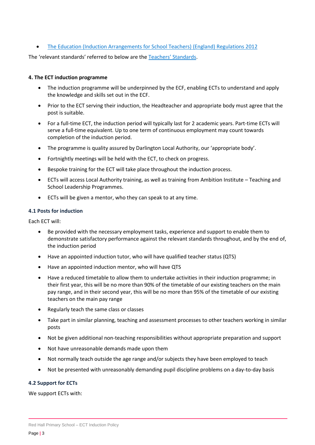[The Education \(Induction Arrangements for School Teachers\) \(England\) Regulations 2012](http://www.legislation.gov.uk/uksi/2012/1115/contents/made)

The 'relevant standards' referred to below are the [Teachers' Standards](https://www.gov.uk/government/publications/teachers-standards).

# <span id="page-2-0"></span>**4. The ECT induction programme**

- The induction programme will be underpinned by the ECF, enabling ECTs to understand and apply the knowledge and skills set out in the ECF.
- Prior to the ECT serving their induction, the Headteacher and appropriate body must agree that the post is suitable.
- For a full-time ECT, the induction period will typically last for 2 academic years. Part-time ECTs will serve a full-time equivalent. Up to one term of continuous employment may count towards completion of the induction period.
- The programme is quality assured by Darlington Local Authority, our 'appropriate body'.
- Fortnightly meetings will be held with the ECT, to check on progress.
- Bespoke training for the ECT will take place throughout the induction process.
- ECTs will access Local Authority training, as well as training from Ambition Institute Teaching and School Leadership Programmes.
- ECTs will be given a mentor, who they can speak to at any time.

#### **4.1 Posts for induction**

Each ECT will:

- Be provided with the necessary employment tasks, experience and support to enable them to demonstrate satisfactory performance against the relevant standards throughout, and by the end of, the induction period
- Have an appointed induction tutor, who will have qualified teacher status (QTS)
- Have an appointed induction mentor, who will have QTS
- Have a reduced timetable to allow them to undertake activities in their induction programme; in their first year, this will be no more than 90% of the timetable of our existing teachers on the main pay range, and in their second year, this will be no more than 95% of the timetable of our existing teachers on the main pay range
- Regularly teach the same class or classes
- Take part in similar planning, teaching and assessment processes to other teachers working in similar posts
- Not be given additional non-teaching responsibilities without appropriate preparation and support
- Not have unreasonable demands made upon them
- Not normally teach outside the age range and/or subjects they have been employed to teach
- Not be presented with unreasonably demanding pupil discipline problems on a day-to-day basis

#### **4.2 Support for ECTs**

We support ECTs with: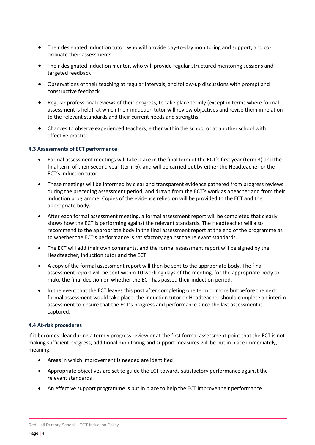- Their designated induction tutor, who will provide day-to-day monitoring and support, and coordinate their assessments
- Their designated induction mentor, who will provide regular structured mentoring sessions and targeted feedback
- Observations of their teaching at regular intervals, and follow-up discussions with prompt and constructive feedback
- Regular professional reviews of their progress, to take place termly (except in terms where formal assessment is held), at which their induction tutor will review objectives and revise them in relation to the relevant standards and their current needs and strengths
- Chances to observe experienced teachers, either within the school or at another school with effective practice

# **4.3 Assessments of ECT performance**

- Formal assessment meetings will take place in the final term of the ECT's first year (term 3) and the final term of their second year (term 6), and will be carried out by either the Headteacher or the ECT's induction tutor.
- These meetings will be informed by clear and transparent evidence gathered from progress reviews during the preceding assessment period, and drawn from the ECT's work as a teacher and from their induction programme. Copies of the evidence relied on will be provided to the ECT and the appropriate body.
- After each formal assessment meeting, a formal assessment report will be completed that clearly shows how the ECT is performing against the relevant standards. The Headteacher will also recommend to the appropriate body in the final assessment report at the end of the programme as to whether the ECT's performance is satisfactory against the relevant standards.
- The ECT will add their own comments, and the formal assessment report will be signed by the Headteacher, induction tutor and the ECT.
- A copy of the formal assessment report will then be sent to the appropriate body. The final assessment report will be sent within 10 working days of the meeting, for the appropriate body to make the final decision on whether the ECT has passed their induction period.
- In the event that the ECT leaves this post after completing one term or more but before the next formal assessment would take place, the induction tutor or Headteacher should complete an interim assessment to ensure that the ECT's progress and performance since the last assessment is captured.

#### **4.4 At-risk procedures**

If it becomes clear during a termly progress review or at the first formal assessment point that the ECT is not making sufficient progress, additional monitoring and support measures will be put in place immediately, meaning:

- Areas in which improvement is needed are identified
- Appropriate objectives are set to guide the ECT towards satisfactory performance against the relevant standards
- An effective support programme is put in place to help the ECT improve their performance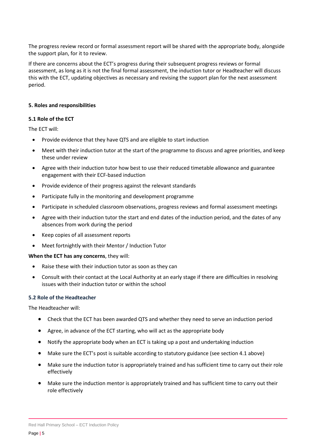The progress review record or formal assessment report will be shared with the appropriate body, alongside the support plan, for it to review.

If there are concerns about the ECT's progress during their subsequent progress reviews or formal assessment, as long as it is not the final formal assessment, the induction tutor or Headteacher will discuss this with the ECT, updating objectives as necessary and revising the support plan for the next assessment period.

# <span id="page-4-0"></span>**5. Roles and responsibilities**

# **5.1 Role of the ECT**

The ECT will:

- Provide evidence that they have QTS and are eligible to start induction
- Meet with their induction tutor at the start of the programme to discuss and agree priorities, and keep these under review
- Agree with their induction tutor how best to use their reduced timetable allowance and guarantee engagement with their ECF-based induction
- Provide evidence of their progress against the relevant standards
- Participate fully in the monitoring and development programme
- Participate in scheduled classroom observations, progress reviews and formal assessment meetings
- Agree with their induction tutor the start and end dates of the induction period, and the dates of any absences from work during the period
- Keep copies of all assessment reports
- Meet fortnightly with their Mentor / Induction Tutor

#### **When the ECT has any concerns**, they will:

- Raise these with their induction tutor as soon as they can
- Consult with their contact at the Local Authority at an early stage if there are difficulties in resolving issues with their induction tutor or within the school

#### **5.2 Role of the Headteacher**

The Headteacher will:

- Check that the ECT has been awarded QTS and whether they need to serve an induction period
- Agree, in advance of the ECT starting, who will act as the appropriate body
- Notify the appropriate body when an ECT is taking up a post and undertaking induction
- Make sure the ECT's post is suitable according to statutory guidance (see section 4.1 above)
- Make sure the induction tutor is appropriately trained and has sufficient time to carry out their role effectively
- Make sure the induction mentor is appropriately trained and has sufficient time to carry out their role effectively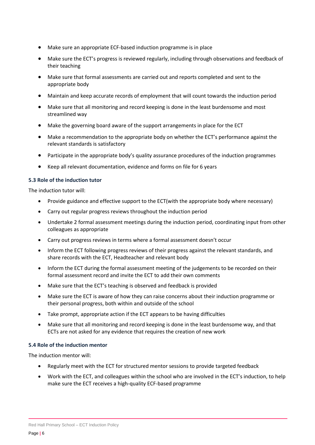- Make sure an appropriate ECF-based induction programme is in place
- Make sure the ECT's progress is reviewed regularly, including through observations and feedback of their teaching
- Make sure that formal assessments are carried out and reports completed and sent to the appropriate body
- Maintain and keep accurate records of employment that will count towards the induction period
- Make sure that all monitoring and record keeping is done in the least burdensome and most streamlined way
- Make the governing board aware of the support arrangements in place for the ECT
- Make a recommendation to the appropriate body on whether the ECT's performance against the relevant standards is satisfactory
- Participate in the appropriate body's quality assurance procedures of the induction programmes
- Keep all relevant documentation, evidence and forms on file for 6 years

# **5.3 Role of the induction tutor**

The induction tutor will:

- Provide guidance and effective support to the ECT(with the appropriate body where necessary)
- Carry out regular progress reviews throughout the induction period
- Undertake 2 formal assessment meetings during the induction period, coordinating input from other colleagues as appropriate
- Carry out progress reviews in terms where a formal assessment doesn't occur
- Inform the ECT following progress reviews of their progress against the relevant standards, and share records with the ECT, Headteacher and relevant body
- Inform the ECT during the formal assessment meeting of the judgements to be recorded on their formal assessment record and invite the ECT to add their own comments
- Make sure that the ECT's teaching is observed and feedback is provided
- Make sure the ECT is aware of how they can raise concerns about their induction programme or their personal progress, both within and outside of the school
- Take prompt, appropriate action if the ECT appears to be having difficulties
- Make sure that all monitoring and record keeping is done in the least burdensome way, and that ECTs are not asked for any evidence that requires the creation of new work

#### **5.4 Role of the induction mentor**

The induction mentor will:

- Regularly meet with the ECT for structured mentor sessions to provide targeted feedback
- Work with the ECT, and colleagues within the school who are involved in the ECT's induction, to help make sure the ECT receives a high-quality ECF-based programme